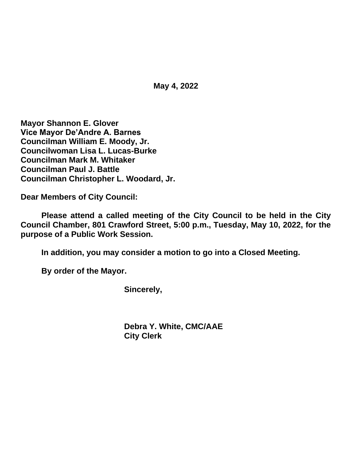**May 4, 2022**

**Mayor Shannon E. Glover Vice Mayor De'Andre A. Barnes Councilman William E. Moody, Jr. Councilwoman Lisa L. Lucas-Burke Councilman Mark M. Whitaker Councilman Paul J. Battle Councilman Christopher L. Woodard, Jr.**

**Dear Members of City Council:**

**Please attend a called meeting of the City Council to be held in the City Council Chamber, 801 Crawford Street, 5:00 p.m., Tuesday, May 10, 2022, for the purpose of a Public Work Session.**

**In addition, you may consider a motion to go into a Closed Meeting.**

**By order of the Mayor.**

**Sincerely,**

**Debra Y. White, CMC/AAE City Clerk**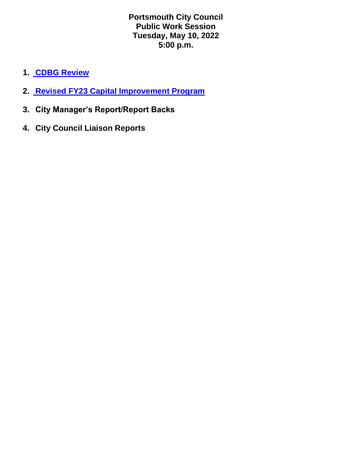**Portsmouth City Council Public Work Session Tuesday, May 10, 2022 5:00 p.m.**

- **1. [CDBG Review](https://www.portsmouthva.gov/DocumentCenter/View/12392/CDBG-HOME-report-back-5-6-22)**
- **2. [Revised FY23 Capital Improvement Program](https://www.portsmouthva.gov/DocumentCenter/View/12391/Final-Budget-51022CIP-Presentation)**
- **3. City Manager's Report/Report Backs**
- **4. City Council Liaison Reports**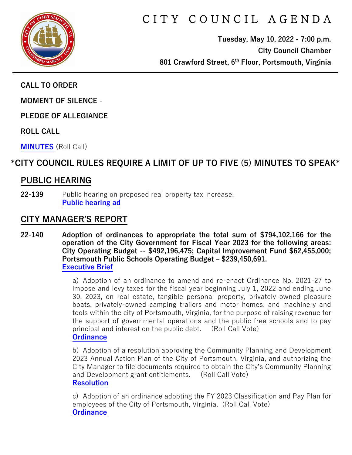

# C I T Y C O U N C I L A G E N D A

**Tuesday, May 10, 2022 - 7:00 p.m. City Council Chamber 801 Crawford Street, 6th Floor, Portsmouth, Virginia**

**CALL TO ORDER**

**MOMENT OF SILENCE -**

**PLEDGE OF ALLEGIANCE** 

**ROLL CALL**

**[MINUTES](https://www.portsmouthva.gov/DocumentCenter/View/12366/City-Council-Minutes) (**Roll Call)

## **\*CITY COUNCIL RULES REQUIRE A LIMIT OF UP TO FIVE (5) MINUTES TO SPEAK\***

## **PUBLIC HEARING**

**22-139** Public hearing on proposed real property tax increase. **[Public hearing ad](https://www.portsmouthva.gov/DocumentCenter/View/12367/22-139-Public-hearing)**

### **CITY MANAGER'S REPORT**

**22-140 Adoption of ordinances to appropriate the total sum of \$794,102,166 for the operation of the City Government for Fiscal Year 2023 for the following areas: City Operating Budget -- \$492,196,475; Capital Improvement Fund \$62,455,000; Portsmouth Public Schools Operating Budget – \$239,450,691. [Executive Brief](https://www.portsmouthva.gov/DocumentCenter/View/12368/22-140-CMR)**

> a) Adoption of an ordinance to amend and re-enact Ordinance No. 2021-27 to impose and levy taxes for the fiscal year beginning July 1, 2022 and ending June 30, 2023, on real estate, tangible personal property, privately-owned pleasure boats, privately-owned camping trailers and motor homes, and machinery and tools within the city of Portsmouth, Virginia, for the purpose of raising revenue for the support of governmental operations and the public free schools and to pay principal and interest on the public debt. (Roll Call Vote) **[Ordinance](https://www.portsmouthva.gov/DocumentCenter/View/12369/22-140a-Ordinance)**

> b) Adoption of a resolution approving the Community Planning and Development 2023 Annual Action Plan of the City of Portsmouth, Virginia, and authorizing the City Manager to file documents required to obtain the City's Community Planning and Development grant entitlements. (Roll Call Vote) **[Resolution](https://www.portsmouthva.gov/DocumentCenter/View/12370/22-140b-Resolution)**

> c) Adoption of an ordinance adopting the FY 2023 Classification and Pay Plan for employees of the City of Portsmouth, Virginia. (Roll Call Vote) **[Ordinance](https://www.portsmouthva.gov/DocumentCenter/View/12371/22-140c-Ordinance)**